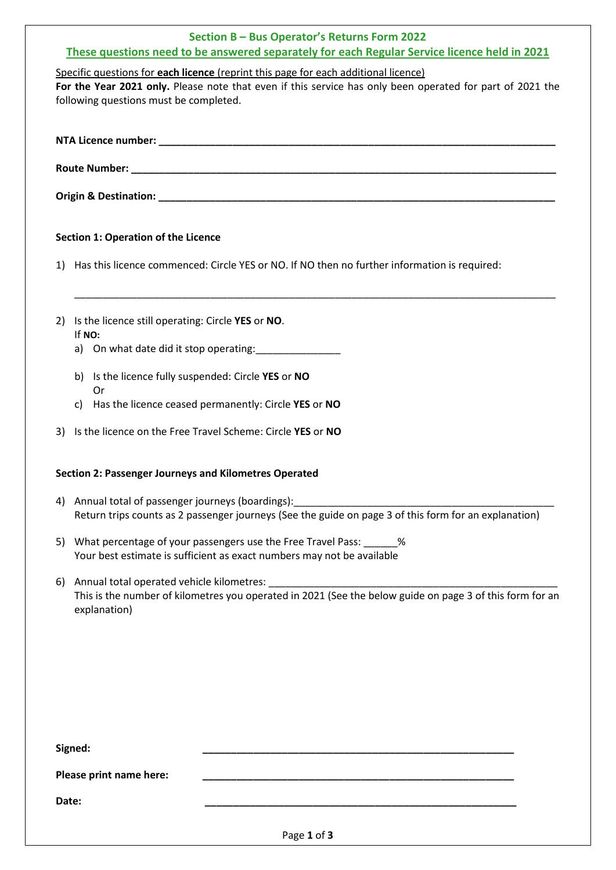# **Section B – Bus Operator's Returns Form 2022**

## **These questions need to be answered separately for each Regular Service licence held in 2021** Specific questions for **each licence** (reprint this page for each additional licence)

| Specific questions for <b>each licence</b> (reprint this page for each additional licence)                |
|-----------------------------------------------------------------------------------------------------------|
| For the Year 2021 only. Please note that even if this service has only been operated for part of 2021 the |
| following questions must be completed.                                                                    |

**NTA Licence number: \_\_\_\_\_\_\_\_\_\_\_\_\_\_\_\_\_\_\_\_\_\_\_\_\_\_\_\_\_\_\_\_\_\_\_\_\_\_\_\_\_\_\_\_\_\_\_\_\_\_\_\_\_\_\_\_\_\_\_\_\_\_\_\_\_\_\_\_\_\_**

Route Number: **William Strategie Route Number** 

\_\_\_\_\_\_\_\_\_\_\_\_\_\_\_\_\_\_\_\_\_\_\_\_\_\_\_\_\_\_\_\_\_\_\_\_\_\_\_\_\_\_\_\_\_\_\_\_\_\_\_\_\_\_\_\_\_\_\_\_\_\_\_\_\_\_\_\_\_\_\_\_\_\_\_\_\_\_\_\_\_\_\_\_\_

**Origin & Destination: \_\_\_\_\_\_\_\_\_\_\_\_\_\_\_\_\_\_\_\_\_\_\_\_\_\_\_\_\_\_\_\_\_\_\_\_\_\_\_\_\_\_\_\_\_\_\_\_\_\_\_\_\_\_\_\_\_\_\_\_\_\_\_\_\_\_\_\_\_\_**

## **Section 1: Operation of the Licence**

1) Has this licence commenced: Circle YES or NO. If NO then no further information is required:

- 2) Is the licence still operating: Circle **YES** or **NO**. If **NO:**
	- a) On what date did it stop operating:
	- b) Is the licence fully suspended: Circle **YES** or **NO** Or
	- c) Has the licence ceased permanently: Circle **YES** or **NO**
- 3) Is the licence on the Free Travel Scheme: Circle **YES** or **NO**

#### **Section 2: Passenger Journeys and Kilometres Operated**

- 4) Annual total of passenger journeys (boardings): Return trips counts as 2 passenger journeys (See the guide on page 3 of this form for an explanation)
- 5) What percentage of your passengers use the Free Travel Pass: \_\_\_\_\_\_% Your best estimate is sufficient as exact numbers may not be available
- 6) Annual total operated vehicle kilometres: This is the number of kilometres you operated in 2021 (See the below guide on page 3 of this form for an explanation)

| Signed:                 |  |  |
|-------------------------|--|--|
| Please print name here: |  |  |
| Date:                   |  |  |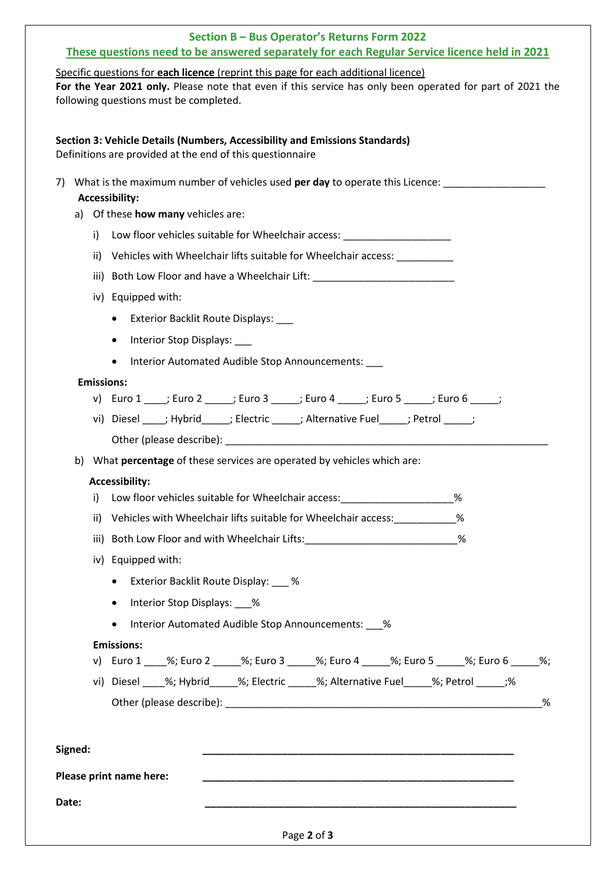# **Section B – Bus Operator's Returns Form 2022 These questions need to be answered separately for each Regular Service licence held in 2021**

Specific questions for **each licence** (reprint this page for each additional licence) **For the Year 2021 only.** Please note that even if this service has only been operated for part of 2021 the following questions must be completed.

|       |         | Section 3: Vehicle Details (Numbers, Accessibility and Emissions Standards)<br>Definitions are provided at the end of this questionnaire |
|-------|---------|------------------------------------------------------------------------------------------------------------------------------------------|
|       |         | 7) What is the maximum number of vehicles used <b>per day</b> to operate this Licence:<br><b>Accessibility:</b>                          |
|       |         | a) Of these how many vehicles are:                                                                                                       |
|       | i)      | Low floor vehicles suitable for Wheelchair access:                                                                                       |
|       | ii)     | Vehicles with Wheelchair lifts suitable for Wheelchair access:                                                                           |
|       |         | iii) Both Low Floor and have a Wheelchair Lift:                                                                                          |
|       |         | iv) Equipped with:                                                                                                                       |
|       |         | Exterior Backlit Route Displays: ___<br>$\bullet$                                                                                        |
|       |         | Interior Stop Displays: ___<br>$\bullet$                                                                                                 |
|       |         | Interior Automated Audible Stop Announcements:<br>$\bullet$                                                                              |
|       |         | <b>Emissions:</b>                                                                                                                        |
|       |         | v) Euro 1 _____; Euro 2 ______; Euro 3 ______; Euro 4 ______; Euro 5 ______; Euro 6 ______;                                              |
|       |         | vi) Diesel ____; Hybrid_____; Electric _____; Alternative Fuel _____; Petrol _____;                                                      |
|       |         |                                                                                                                                          |
|       |         | b) What percentage of these services are operated by vehicles which are:                                                                 |
|       |         | <b>Accessibility:</b>                                                                                                                    |
|       | i)      | Low floor vehicles suitable for Wheelchair access: _____________________________<br>%                                                    |
|       | ii)     | Vehicles with Wheelchair lifts suitable for Wheelchair access:<br>%                                                                      |
|       |         | iii) Both Low Floor and with Wheelchair Lifts: ____________________________%                                                             |
|       |         | iv) Equipped with:                                                                                                                       |
|       |         | Exterior Backlit Route Display: ___ %<br>$\bullet$                                                                                       |
|       |         | Interior Stop Displays: 4%<br>$\bullet$                                                                                                  |
|       |         | Interior Automated Audible Stop Announcements: 46<br>$\bullet$                                                                           |
|       |         | <b>Emissions:</b>                                                                                                                        |
|       |         | v) Euro 1 ____%; Euro 2 ______%; Euro 3 _____%; Euro 4 ______%; Euro 5 ______%; Euro 6 ______%;                                          |
|       |         | vi) Diesel ____%; Hybrid_____%; Electric _____%; Alternative Fuel _____%; Petrol ______;%                                                |
|       |         | %                                                                                                                                        |
|       |         |                                                                                                                                          |
|       | Signed: |                                                                                                                                          |
|       |         | Please print name here:                                                                                                                  |
| Date: |         |                                                                                                                                          |